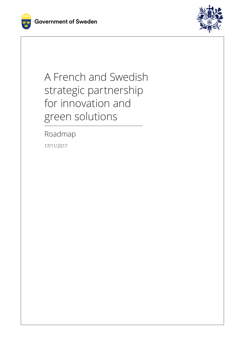



A French and Swedish strategic partnership for innovation and green solutions

Roadmap

17/11/2017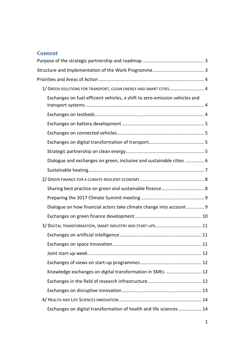# **Content**

| 1/ GREEN SOLUTIONS FOR TRANSPORT, CLEAN ENERGY AND SMART CITIES 4           |  |
|-----------------------------------------------------------------------------|--|
| Exchanges on fuel-efficient vehicles, a shift to zero-emission vehicles and |  |
|                                                                             |  |
|                                                                             |  |
|                                                                             |  |
|                                                                             |  |
|                                                                             |  |
|                                                                             |  |
| Dialogue and exchanges on green, inclusive and sustainable cities  6        |  |
|                                                                             |  |
|                                                                             |  |
|                                                                             |  |
|                                                                             |  |
| Dialogue on how financial actors take climate change into account 9         |  |
|                                                                             |  |
|                                                                             |  |
|                                                                             |  |
|                                                                             |  |
|                                                                             |  |
|                                                                             |  |
| Knowledge exchanges on digital transformation in SMEs  12                   |  |
|                                                                             |  |
|                                                                             |  |
|                                                                             |  |
| Exchanges on digital transformation of health and life sciences  14         |  |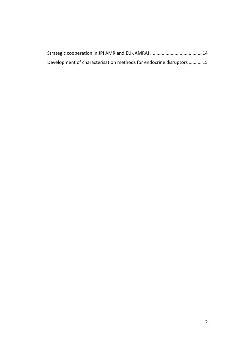| Development of characterisation methods for endocrine disruptors  15 |  |
|----------------------------------------------------------------------|--|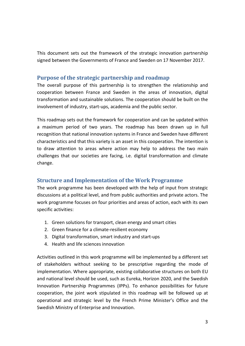This document sets out the framework of the strategic innovation partnership signed between the Governments of France and Sweden on 17 November 2017.

## <span id="page-3-0"></span>**Purpose of the strategic partnership and roadmap**

The overall purpose of this partnership is to strengthen the relationship and cooperation between France and Sweden in the areas of innovation, digital transformation and sustainable solutions. The cooperation should be built on the involvement of industry, start-ups, academia and the public sector.

This roadmap sets out the framework for cooperation and can be updated within a maximum period of two years. The roadmap has been drawn up in full recognition that national innovation systems in France and Sweden have different characteristics and that this variety is an asset in this cooperation. The intention is to draw attention to areas where action may help to address the two main challenges that our societies are facing, i.e. digital transformation and climate change.

## <span id="page-3-1"></span>**Structure and Implementation of the Work Programme**

The work programme has been developed with the help of input from strategic discussions at a political level, and from public authorities and private actors. The work programme focuses on four priorities and areas of action, each with its own specific activities:

- 1. Green solutions for transport, clean energy and smart cities
- 2. Green finance for a climate-resilient economy
- 3. Digital transformation, smart industry and start-ups
- 4. Health and life sciences innovation

Activities outlined in this work programme will be implemented by a different set of stakeholders without seeking to be prescriptive regarding the mode of implementation. Where appropriate, existing collaborative structures on both EU and national level should be used, such as Eureka, Horizon 2020, and the Swedish Innovation Partnership Programmes (IPPs). To enhance possibilities for future cooperation, the joint work stipulated in this roadmap will be followed up at operational and strategic level by the French Prime Minister's Office and the Swedish Ministry of Enterprise and Innovation.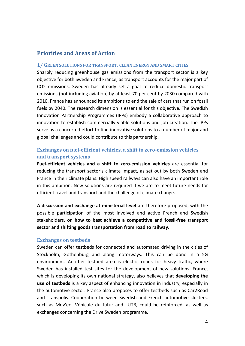## <span id="page-4-0"></span>**Priorities and Areas of Action**

#### <span id="page-4-1"></span>**1/ GREEN SOLUTIONS FOR TRANSPORT, CLEAN ENERGY AND SMART CITIES**

Sharply reducing greenhouse gas emissions from the transport sector is a key objective for both Sweden and France, as transport accounts for the major part of CO2 emissions. Sweden has already set a goal to reduce domestic transport emissions (not including aviation) by at least 70 per cent by 2030 compared with 2010. France has announced its ambitions to end the sale of cars that run on fossil fuels by 2040. The research dimension is essential for this objective. The Swedish Innovation Partnership Programmes (IPPs) embody a collaborative approach to innovation to establish commercially viable solutions and job creation. The IPPs serve as a concerted effort to find innovative solutions to a number of major and global challenges and could contribute to this partnership.

## <span id="page-4-2"></span>**Exchanges on fuel-efficient vehicles, a shift to zero-emission vehicles and transport systems**

**Fuel-efficient vehicles and a shift to zero-emission vehicles** are essential for reducing the transport sector's climate impact, as set out by both Sweden and France in their climate plans. High speed railways can also have an important role in this ambition. New solutions are required if we are to meet future needs for efficient travel and transport and the challenge of climate change.

**A discussion and exchange at ministerial level** are therefore proposed, with the possible participation of the most involved and active French and Swedish stakeholders, **on how to best achieve a competitive and fossil-free transport sector and shifting goods transportation from road to railway.**

#### <span id="page-4-3"></span>**Exchanges on testbeds**

Sweden can offer testbeds for connected and automated driving in the cities of Stockholm, Gothenburg and along motorways. This can be done in a 5G environment. Another testbed area is electric roads for heavy traffic, where Sweden has installed test sites for the development of new solutions. France, which is developing its own national strategy, also believes that **developing the use of testbeds** is a key aspect of enhancing innovation in industry, especially in the automotive sector. France also proposes to offer testbeds such as Car2Road and Transpolis. Cooperation between Swedish and French automotive clusters, such as Mov'eo, Véhicule du futur and LUTB, could be reinforced, as well as exchanges concerning the Drive Sweden programme.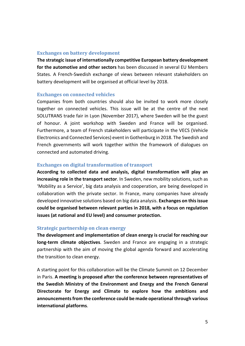## <span id="page-5-0"></span>**Exchanges on battery development**

**The strategic issue of internationally competitive European battery development for the automotive and other sectors** has been discussed in several EU Members States. A French-Swedish exchange of views between relevant stakeholders on battery development will be organised at official level by 2018.

#### <span id="page-5-1"></span>**Exchanges on connected vehicles**

Companies from both countries should also be invited to work more closely together on connected vehicles. This issue will be at the centre of the next SOLUTRANS trade fair in Lyon (November 2017), where Sweden will be the guest of honour. A joint workshop with Sweden and France will be organised. Furthermore, a team of French stakeholders will participate in the VECS (Vehicle Electronics and Connected Services) event in Gothenburg in 2018. The Swedish and French governments will work together within the framework of dialogues on connected and automated driving.

## <span id="page-5-2"></span>**Exchanges on digital transformation of transport**

**According to collected data and analysis, digital transformation will play an increasing role in the transport sector**. In Sweden, new mobility solutions, such as 'Mobility as a Service', big data analysis and cooperation, are being developed in collaboration with the private sector. In France, many companies have already developed innovative solutions based on big data analysis. **Exchanges on this issue could be organised between relevant parties in 2018, with a focus on regulation issues (at national and EU level) and consumer protection.**

### <span id="page-5-3"></span>**Strategic partnership on clean energy**

**The development and implementation of clean energy is crucial for reaching our long-term climate objectives**. Sweden and France are engaging in a strategic partnership with the aim of moving the global agenda forward and accelerating the transition to clean energy.

A starting point for this collaboration will be the Climate Summit on 12 December in Paris. **A meeting is proposed after the conference between representatives of the Swedish Ministry of the Environment and Energy and the French General Directorate for Energy and Climate to explore how the ambitions and announcements from the conference could be made operational through various international platforms**.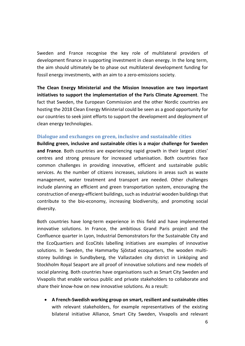Sweden and France recognise the key role of multilateral providers of development finance in supporting investment in clean energy. In the long term, the aim should ultimately be to phase out multilateral development funding for fossil energy investments, with an aim to a zero-emissions society.

**The Clean Energy Ministerial and the Mission Innovation are two important initiatives to support the implementation of the Paris Climate Agreement**. The fact that Sweden, the European Commission and the other Nordic countries are hosting the 2018 Clean Energy Ministerial could be seen as a good opportunity for our countries to seek joint efforts to support the development and deployment of clean energy technologies.

#### <span id="page-6-0"></span>**Dialogue and exchanges on green, inclusive and sustainable cities**

**Building green, inclusive and sustainable cities is a major challenge for Sweden and France**. Both countries are experiencing rapid growth in their largest cities' centres and strong pressure for increased urbanisation. Both countries face common challenges in providing innovative, efficient and sustainable public services. As the number of citizens increases, solutions in areas such as waste management, water treatment and transport are needed. Other challenges include planning an efficient and green transportation system, encouraging the construction of energy-efficient buildings, such as industrial wooden buildings that contribute to the bio-economy, increasing biodiversity, and promoting social diversity.

Both countries have long-term experience in this field and have implemented innovative solutions. In France, the ambitious Grand Paris project and the Confluence quarter in Lyon, Industrial Demonstrators for the Sustainable City and the EcoQuartiers and EcoCités labelling initiatives are examples of innovative solutions. In Sweden, the Hammarby Sjöstad ecoquarters, the wooden multistorey buildings in Sundbyberg, the Vallastaden city district in Linköping and Stockholm Royal Seaport are all proof of innovative solutions and new models of social planning. Both countries have organisations such as Smart City Sweden and Vivapolis that enable various public and private stakeholders to collaborate and share their know-how on new innovative solutions. As a result:

• **A French-Swedish working group on smart, resilient and sustainable cities** with relevant stakeholders, for example representatives of the existing bilateral initiative Alliance, Smart City Sweden, Vivapolis and relevant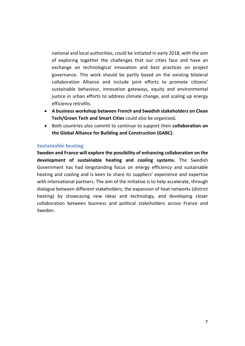national and local authorities, could be initiated in early 2018, with the aim of exploring together the challenges that our cities face and have an exchange on technological innovation and best practices on project governance. This work should be partly based on the existing bilateral collaboration Alliance and include joint efforts to promote citizens' sustainable behaviour, innovation gateways, equity and environmental justice in urban efforts to address climate change, and scaling up energy efficiency retrofits.

- **A business workshop between French and Swedish stakeholders on Clean Tech/Green Tech and Smart Cities** could also be organised**.**
- Both countries also commit to continue to support their **collaboration on the Global Alliance for Building and Construction (GABC).**

## <span id="page-7-0"></span>**Sustainable heating**

**Sweden and France will explore the possibility of enhancing collaboration on the development of sustainable heating and cooling systems.** The Swedish Government has had longstanding focus on energy efficiency and sustainable heating and cooling and is keen to share its suppliers' experience and expertise with international partners. The aim of the initiative is to help accelerate, through dialogue between different stakeholders, the expansion of heat networks (district heating) by showcasing new ideas and technology, and developing closer collaboration between business and political stakeholders across France and Sweden.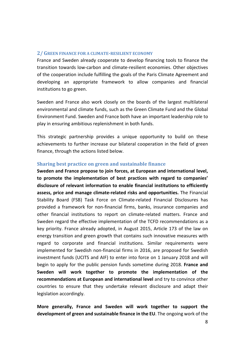### <span id="page-8-0"></span>**2/ GREEN FINANCE FOR A CLIMATE-RESILIENT ECONOMY**

France and Sweden already cooperate to develop financing tools to finance the transition towards low-carbon and climate-resilient economies. Other objectives of the cooperation include fulfilling the goals of the Paris Climate Agreement and developing an appropriate framework to allow companies and financial institutions to go green.

Sweden and France also work closely on the boards of the largest multilateral environmental and climate funds, such as the Green Climate Fund and the Global Environment Fund. Sweden and France both have an important leadership role to play in ensuring ambitious replenishment in both funds.

This strategic partnership provides a unique opportunity to build on these achievements to further increase our bilateral cooperation in the field of green finance, through the actions listed below.

#### <span id="page-8-1"></span>**Sharing best practice on green and sustainable finance**

**Sweden and France propose to join forces, at European and international level, to promote the implementation of best practices with regard to companies' disclosure of relevant information to enable financial institutions to efficiently assess, price and manage climate-related risks and opportunities.** The Financial Stability Board (FSB) Task Force on Climate-related Financial Disclosures has provided a framework for non-financial firms, banks, insurance companies and other financial institutions to report on climate-related matters. France and Sweden regard the effective implementation of the TCFD recommendations as a key priority. France already adopted, in August 2015, Article 173 of the law on energy transition and green growth that contains such innovative measures with regard to corporate and financial institutions. Similar requirements were implemented for Swedish non-financial firms in 2016, are proposed for Swedish investment funds (UCITS and AIF) to enter into force on 1 January 2018 and will begin to apply for the public pension funds sometime during 2018. **France and Sweden will work together to promote the implementation of the recommendations at European and international level** and try to convince other countries to ensure that they undertake relevant disclosure and adapt their legislation accordingly.

**More generally, France and Sweden will work together to support the development of green and sustainable finance in the EU**. The ongoing work of the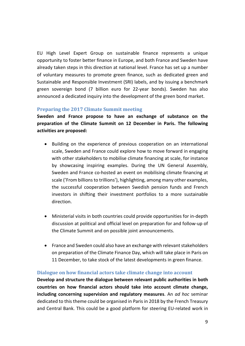EU High Level Expert Group on sustainable finance represents a unique opportunity to foster better finance in Europe, and both France and Sweden have already taken steps in this direction at national level. France has set up a number of voluntary measures to promote green finance, such as dedicated green and Sustainable and Responsible Investment (SRI) labels, and by issuing a benchmark green sovereign bond (7 billion euro for 22-year bonds). Sweden has also announced a dedicated inquiry into the development of the green bond market.

## <span id="page-9-0"></span>**Preparing the 2017 Climate Summit meeting**

**Sweden and France propose to have an exchange of substance on the preparation of the Climate Summit on 12 December in Paris. The following activities are proposed:** 

- Building on the experience of previous cooperation on an international scale, Sweden and France could explore how to move forward in engaging with other stakeholders to mobilise climate financing at scale, for instance by showcasing inspiring examples. During the UN General Assembly, Sweden and France co-hosted an event on mobilising climate financing at scale ('From billions to trillions'), highlighting, among many other examples, the successful cooperation between Swedish pension funds and French investors in shifting their investment portfolios to a more sustainable direction.
- Ministerial visits in both countries could provide opportunities for in-depth discussion at political and official level on preparation for and follow-up of the Climate Summit and on possible joint announcements.
- France and Sweden could also have an exchange with relevant stakeholders on preparation of the Climate Finance Day, which will take place in Paris on 11 December, to take stock of the latest developments in green finance.

### <span id="page-9-1"></span>**Dialogue on how financial actors take climate change into account**

**Develop and structure the dialogue between relevant public authorities in both countries on how financial actors should take into account climate change, including concerning supervision and regulatory measures**. An *ad hoc* seminar dedicated to this theme could be organised in Paris in 2018 by the French Treasury and Central Bank. This could be a good platform for steering EU-related work in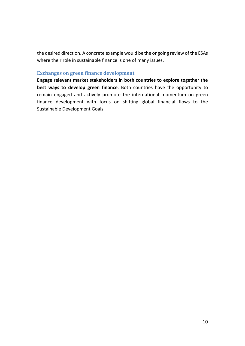the desired direction. A concrete example would be the ongoing review of the ESAs where their role in sustainable finance is one of many issues.

#### <span id="page-10-0"></span>**Exchanges on green finance development**

**Engage relevant market stakeholders in both countries to explore together the best ways to develop green finance**. Both countries have the opportunity to remain engaged and actively promote the international momentum on green finance development with focus on shifting global financial flows to the Sustainable Development Goals.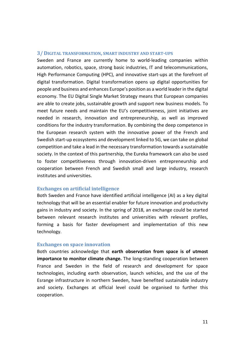#### <span id="page-11-0"></span>**3/ DIGITAL TRANSFORMATION, SMART INDUSTRY AND START-UPS**

Sweden and France are currently home to world-leading companies within automation, robotics, space, strong basic industries, IT and telecommunications, High Performance Computing (HPC), and innovative start-ups at the forefront of digital transformation. Digital transformation opens up digital opportunities for people and business and enhances Europe's position as a world leader in the digital economy. The EU Digital Single Market Strategy means that European companies are able to create jobs, sustainable growth and support new business models. To meet future needs and maintain the EU's competitiveness, joint initiatives are needed in research, innovation and entrepreneurship, as well as improved conditions for the industry transformation. By combining the deep competence in the European research system with the innovative power of the French and Swedish start-up ecosystems and development linked to 5G, we can take on global competition and take a lead in the necessary transformation towards a sustainable society. In the context of this partnership, the Eureka framework can also be used to foster competitiveness through innovation-driven entrepreneurship and cooperation between French and Swedish small and large industry, research institutes and universities.

#### <span id="page-11-1"></span>**Exchanges on artificial intelligence**

Both Sweden and France have identified artificial intelligence (AI) as a key digital technology that will be an essential enabler for future innovation and productivity gains in industry and society. In the spring of 2018, an exchange could be started between relevant research institutes and universities with relevant profiles, forming a basis for faster development and implementation of this new technology.

#### <span id="page-11-2"></span>**Exchanges on space innovation**

Both countries acknowledge that **earth observation from space is of utmost importance to monitor climate change.** The long-standing cooperation between France and Sweden in the field of research and development for space technologies, including earth observation, launch vehicles, and the use of the Esrange infrastructure in northern Sweden, have benefited sustainable industry and society. Exchanges at official level could be organised to further this cooperation.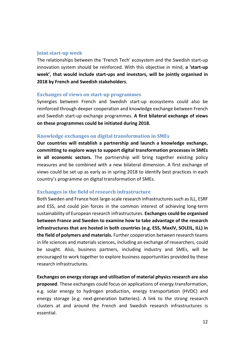#### <span id="page-12-0"></span>**Joint start-up week**

The relationships between the 'French Tech' ecosystem and the Swedish start-up innovation system should be reinforced. With this objective in mind, **a 'start-up week', that would include start-ups and investors, will be jointly organised in 2018 by French and Swedish stakeholders**.

#### <span id="page-12-1"></span>**Exchanges of views on start-up programmes**

Synergies between French and Swedish start-up ecosystems could also be reinforced through deeper cooperation and knowledge exchange between French and Swedish start-up exchange programmes. **A first bilateral exchange of views on these programmes could be initiated during 2018.**

### <span id="page-12-2"></span>**Knowledge exchanges on digital transformation in SMEs**

**Our countries will establish a partnership and launch a knowledge exchange, committing to explore ways to support digital transformation processes in SMEs in all economic sectors.** The partnership will bring together existing policy measures and be combined with a new bilateral dimension. A first exchange of views could be set up as early as in spring 2018 to identify best practices in each country's programme on digital transformation of SMEs.

### <span id="page-12-3"></span>**Exchanges in the field of research infrastructure**

Both Sweden and France host large-scale research infrastructures such as ILL, ESRF and ESS, and could join forces in the common interest of achieving long-term sustainability of European research infrastructures. **Exchanges could be organised between France and Sweden to examine how to take advantage of the research infrastructures that are hosted in both countries (e.g. ESS, MaxIV, SOLEIL, ILL) in the field of polymers and materials.** Further cooperation between research teams in life sciences and materials sciences, including an exchange of researchers, could be sought. Also, business partners, including industry and SMEs, will be encouraged to work together to explore business opportunities provided by these research infrastructures.

**Exchanges on energy storage and utilisation of material physics research are also proposed**. These exchanges could focus on applications of energy transformation, e.g. solar energy to hydrogen production, energy transportation (HVDC) and energy storage (e.g. next-generation batteries). A link to the strong research clusters at and around the French and Swedish research infrastructures is essential.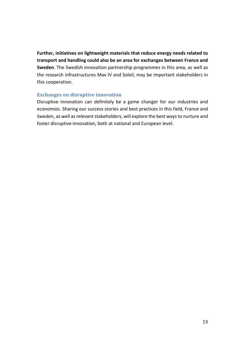**Further, initiatives on lightweight materials that reduce energy needs related to transport and handling could also be an area for exchanges between France and Sweden**. The Swedish innovation partnership programmes in this area, as well as the research infrastructures Max IV and Soleil, may be important stakeholders in this cooperation.

### <span id="page-13-0"></span>**Exchanges on disruptive innovation**

Disruptive innovation can definitely be a game changer for our industries and economies. Sharing our success stories and best practices in this field, France and Sweden, as well as relevant stakeholders, will explore the best ways to nurture and foster disruptive innovation, both at national and European level.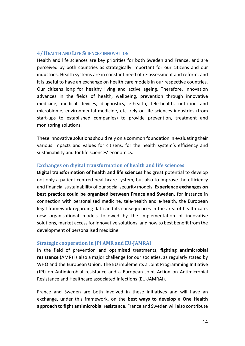#### <span id="page-14-0"></span>**4/ HEALTH AND LIFE SCIENCES INNOVATION**

Health and life sciences are key priorities for both Sweden and France, and are perceived by both countries as strategically important for our citizens and our industries. Health systems are in constant need of re-assessment and reform, and it is useful to have an exchange on health care models in our respective countries. Our citizens long for healthy living and active ageing. Therefore, innovation advances in the fields of health, wellbeing, prevention through innovative medicine, medical devices, diagnostics, e-health, tele-health, nutrition and microbiome, environmental medicine, etc. rely on life sciences industries (from start-ups to established companies) to provide prevention, treatment and monitoring solutions.

These innovative solutions should rely on a common foundation in evaluating their various impacts and values for citizens, for the health system's efficiency and sustainability and for life sciences' economics.

#### <span id="page-14-1"></span>**Exchanges on digital transformation of health and life sciences**

**Digital transformation of health and life sciences** has great potential to develop not only a patient-centred healthcare system, but also to improve the efficiency and financial sustainability of our social security models. **Experience exchanges on best practice could be organised between France and Sweden,** for instance in connection with personalised medicine, tele-health and e-health, the European legal framework regarding data and its consequences in the area of health care, new organisational models followed by the implementation of innovative solutions, market access for innovative solutions, and how to best benefit from the development of personalised medicine.

#### <span id="page-14-2"></span>**Strategic cooperation in JPI AMR and EU-JAMRAI**

In the field of prevention and optimised treatments, **fighting antimicrobial resistance** (AMR) is also a major challenge for our societies, as regularly stated by WHO and the European Union. The EU implements a Joint Programming Initiative (JPI) on Antimicrobial resistance and a European Joint Action on Antimicrobial Resistance and Healthcare associated Infections (EU-JAMRAI).

France and Sweden are both involved in these initiatives and will have an exchange, under this framework, on the **best ways to develop a One Health approach to fight antimicrobial resistance**. France and Sweden will also contribute